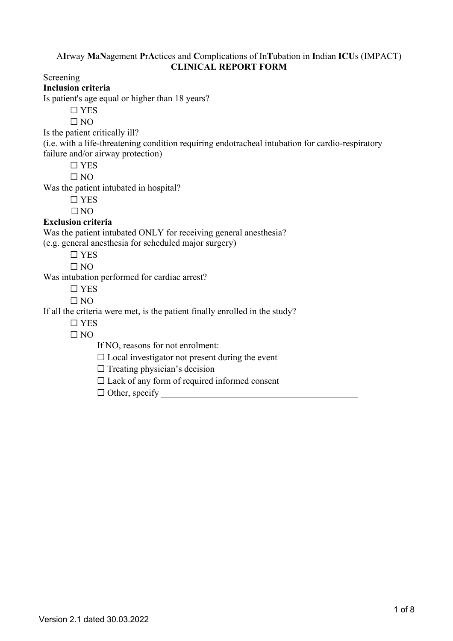## A**I**rway **M**a**N**agement **P**r**A**ctices and **C**omplications of In**T**ubation in **I**ndian **ICU**s (IMPACT) **CLINICAL REPORT FORM**

Screening

**Inclusion criteria**

Is patient's age equal or higher than 18 years?

☐ YES

 $\Box$  NO

Is the patient critically ill?

(i.e. with a life-threatening condition requiring endotracheal intubation for cardio-respiratory failure and/or airway protection)

☐ YES

 $\Box$  NO

Was the patient intubated in hospital?

☐ YES

 $\Box$ NO

# **Exclusion criteria**

Was the patient intubated ONLY for receiving general anesthesia? (e.g. general anesthesia for scheduled major surgery)

☐ YES

 $\Box$  NO

Was intubation performed for cardiac arrest?

 $\Box$  YES

 $\Box$  NO

If all the criteria were met, is the patient finally enrolled in the study?

☐ YES

 $\Box$  NO

If NO, reasons for not enrolment:

 $\Box$  Local investigator not present during the event

 $\Box$  Treating physician's decision

 $\Box$  Lack of any form of required informed consent

 $\Box$  Other, specify  $\Box$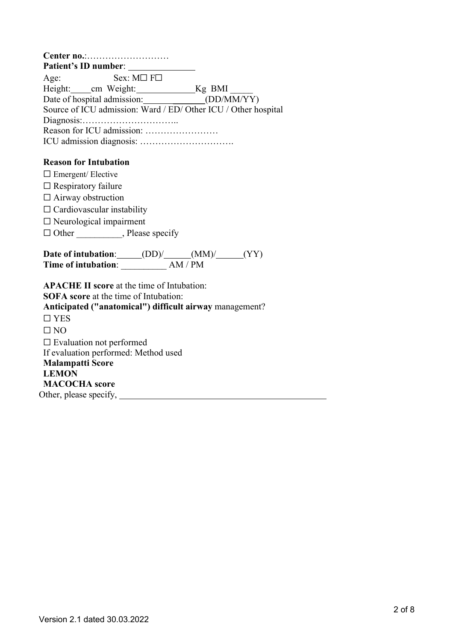|                                                     | <b>Patient's ID number:</b> |                                                                |
|-----------------------------------------------------|-----------------------------|----------------------------------------------------------------|
| Age:                                                | $Sex: M \square F \square$  |                                                                |
|                                                     |                             |                                                                |
| Date of hospital admission: _____________(DD/MM/YY) |                             |                                                                |
|                                                     |                             | Source of ICU admission: Ward / ED/ Other ICU / Other hospital |
|                                                     |                             |                                                                |
|                                                     |                             |                                                                |
|                                                     |                             |                                                                |
|                                                     |                             |                                                                |
| <b>Reason for Intubation</b>                        |                             |                                                                |
| $\Box$ Emergent/ Elective                           |                             |                                                                |
| $\Box$ Respiratory failure                          |                             |                                                                |
| $\Box$ Airway obstruction                           |                             |                                                                |

 $\Box$  Cardiovascular instability ☐ Neurological impairment

□ Other \_\_\_\_\_\_\_\_, Please specify

**Date** of **intubation**: (DD)/ (MM)/ (YY) **Time of intubation**: \_\_\_\_\_\_\_\_\_\_ AM / PM

**APACHE II score** at the time of Intubation: **SOFA score** at the time of Intubation: **Anticipated ("anatomical") difficult airway** management?  $\Box$  YES  $\Box$  NO ☐ Evaluation not performed If evaluation performed: Method used **Malampatti Score LEMON MACOCHA score** Other, please specify,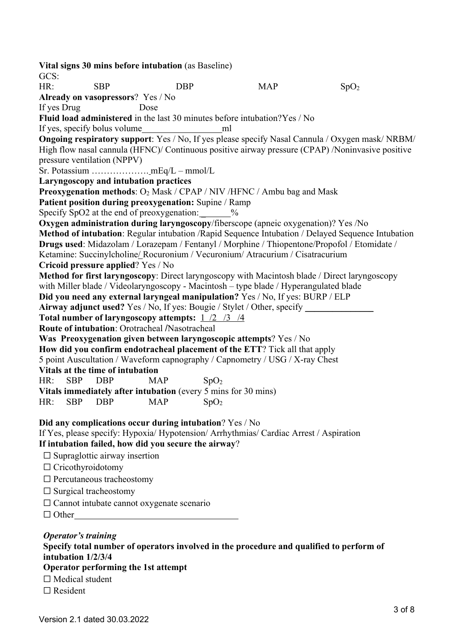**Vital signs 30 mins before intubation** (as Baseline) GCS: HR: SBP DBP  $MAP$  SpO<sub>2</sub> **Already on vasopressors**? Yes / No If yes Drug Dose **Fluid load administered** in the last 30 minutes before intubation? Yes / No If yes, specify bolus volume ml **Ongoing respiratory support**: Yes / No, If yes please specify Nasal Cannula / Oxygen mask/ NRBM/ High flow nasal cannula (HFNC)/ Continuous positive airway pressure (CPAP) /Noninvasive positive pressure ventilation (NPPV) Sr. Potassium ………………. mEq/L – mmol/L **Laryngoscopy and intubation practices Preoxygenation methods:** O<sub>2</sub> Mask / CPAP / NIV /HFNC / Ambu bag and Mask **Patient position during preoxygenation:** Supine / Ramp Specify SpO2 at the end of preoxygenation:  $\%$ **Oxygen administration during laryngoscopy**/fiberscope (apneic oxygenation)? Yes /No **Method of intubation**: Regular intubation /Rapid Sequence Intubation / Delayed Sequence Intubation **Drugs used**: Midazolam / Lorazepam / Fentanyl / Morphine / Thiopentone/Propofol / Etomidate / Ketamine: Succinylcholine/ Rocuronium / Vecuronium/ Atracurium / Cisatracurium **Cricoid pressure applied**? Yes / No **Method for first laryngoscopy**: Direct laryngoscopy with Macintosh blade / Direct laryngoscopy with Miller blade / Videolaryngoscopy - Macintosh – type blade / Hyperangulated blade **Did you need any external laryngeal manipulation?** Yes / No, If yes: BURP / ELP **Airway adjunct used?** Yes / No, If yes: Bougie / Stylet / Other, specify **Total number of laryngoscopy attempts:** 1 /2 /3 /4 **Route of intubation**: Orotracheal /Nasotracheal **Was Preoxygenation given between laryngoscopic attempts**? Yes / No **How did you confirm endotracheal placement of the ETT**? Tick all that apply 5 point Auscultation / Waveform capnography / Capnometry / USG / X-ray Chest **Vitals at the time of intubation** HR: SBP DBP MAP SpO<sub>2</sub> **Vitals immediately after intubation** (every 5 mins for 30 mins) HR: SBP DBP  $MAP$  SpO<sub>2</sub> **Did any complications occur during intubation**? Yes / No If Yes, please specify: Hypoxia/ Hypotension/ Arrhythmias/ Cardiac Arrest / Aspiration **If intubation failed, how did you secure the airway**?  $\Box$  Supraglottic airway insertion □ Cricothyroidotomy ☐ Percutaneous tracheostomy  $\Box$  Surgical tracheostomy ☐ Cannot intubate cannot oxygenate scenario  $\Box$  Other

*Operator's training* **Specify total number of operators involved in the procedure and qualified to perform of intubation 1/2/3/4 Operator performing the 1st attempt**  $\Box$  Medical student □ Resident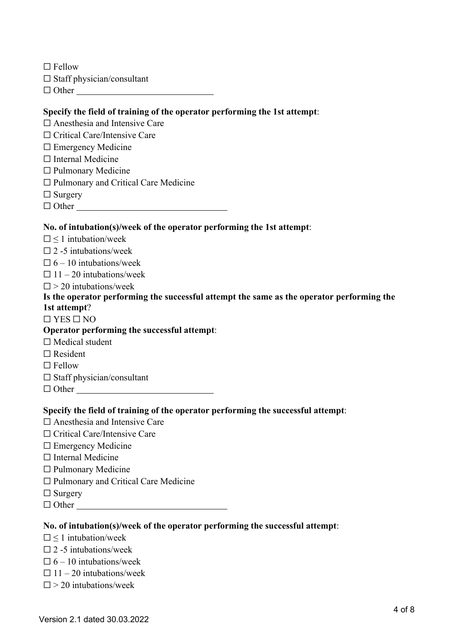□ Fellow

- $\Box$  Staff physician/consultant
- □ Other

## **Specify the field of training of the operator performing the 1st attempt**:

- □ Anesthesia and Intensive Care
- ☐ Critical Care/Intensive Care
- □ Emergency Medicine
- ☐ Internal Medicine
- ☐ Pulmonary Medicine
- ☐ Pulmonary and Critical Care Medicine

□ Surgery

 $\Box$  Other

### **No. of intubation(s)/week of the operator performing the 1st attempt**:

- $\Box$  < 1 intubation/week
- $\Box$  2 -5 intubations/week
- $\Box$  6 10 intubations/week
- $\Box$  11 20 intubations/week

 $\square$  > 20 intubations/week

# **Is the operator performing the successful attempt the same as the operator performing the 1st attempt**?

#### $\Box$  YES  $\Box$  NO

#### **Operator performing the successful attempt**:

- $\Box$  Medical student
- □ Resident
- $\Box$  Fellow
- $\Box$  Staff physician/consultant
- ☐ Other

#### **Specify the field of training of the operator performing the successful attempt**:

- ☐ Anesthesia and Intensive Care
- ☐ Critical Care/Intensive Care
- □ Emergency Medicine
- □ Internal Medicine
- ☐ Pulmonary Medicine
- ☐ Pulmonary and Critical Care Medicine
- □ Surgery
- □ Other

#### **No. of intubation(s)/week of the operator performing the successful attempt**:

- $\Box$  < 1 intubation/week
- $\square$  2 -5 intubations/week
- $\Box$  6 10 intubations/week
- $\Box$  11 20 intubations/week
- $\square$  > 20 intubations/week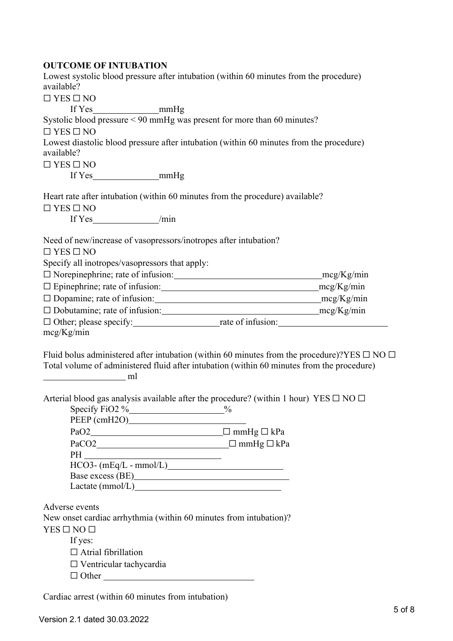# **OUTCOME OF INTUBATION**

| Lowest systolic blood pressure after intubation (within 60 minutes from the procedure)                                                                                                                                         |                                                                                                       |
|--------------------------------------------------------------------------------------------------------------------------------------------------------------------------------------------------------------------------------|-------------------------------------------------------------------------------------------------------|
| available?                                                                                                                                                                                                                     |                                                                                                       |
| $\Box$ YES $\Box$ NO                                                                                                                                                                                                           |                                                                                                       |
|                                                                                                                                                                                                                                |                                                                                                       |
| Systolic blood pressure < 90 mmHg was present for more than 60 minutes?                                                                                                                                                        |                                                                                                       |
| $\Box$ YES $\Box$ NO                                                                                                                                                                                                           |                                                                                                       |
| Lowest diastolic blood pressure after intubation (within 60 minutes from the procedure)                                                                                                                                        |                                                                                                       |
| available?                                                                                                                                                                                                                     |                                                                                                       |
| $\Box$ YES $\Box$ NO                                                                                                                                                                                                           |                                                                                                       |
|                                                                                                                                                                                                                                |                                                                                                       |
| Heart rate after intubation (within 60 minutes from the procedure) available?                                                                                                                                                  |                                                                                                       |
| $\Box$ YES $\Box$ NO                                                                                                                                                                                                           |                                                                                                       |
|                                                                                                                                                                                                                                |                                                                                                       |
| Need of new/increase of vasopressors/inotropes after intubation?                                                                                                                                                               |                                                                                                       |
| $\Box$ YES $\Box$ NO                                                                                                                                                                                                           |                                                                                                       |
| Specify all inotropes/vasopressors that apply:                                                                                                                                                                                 |                                                                                                       |
|                                                                                                                                                                                                                                |                                                                                                       |
|                                                                                                                                                                                                                                |                                                                                                       |
|                                                                                                                                                                                                                                |                                                                                                       |
|                                                                                                                                                                                                                                |                                                                                                       |
|                                                                                                                                                                                                                                |                                                                                                       |
| mcg/Kg/min                                                                                                                                                                                                                     |                                                                                                       |
| Total volume of administered fluid after intubation (within 60 minutes from the procedure)                                                                                                                                     | Fluid bolus administered after intubation (within 60 minutes from the procedure)?YES $\Box$ NO $\Box$ |
| Arterial blood gas analysis available after the procedure? (within 1 hour) YES $\square$ NO $\square$<br>Specify FiO2 $\%$                                                                                                     | $\%$                                                                                                  |
|                                                                                                                                                                                                                                |                                                                                                       |
| $PaCO2$ $\Box$ mmHg $\Box$ kPa                                                                                                                                                                                                 |                                                                                                       |
|                                                                                                                                                                                                                                |                                                                                                       |
| $HCO3-$ (mEq/L - mmol/L)                                                                                                                                                                                                       |                                                                                                       |
| Base excess (BE) and the set of the set of the set of the set of the set of the set of the set of the set of the set of the set of the set of the set of the set of the set of the set of the set of the set of the set of the |                                                                                                       |
|                                                                                                                                                                                                                                |                                                                                                       |
| Adverse events                                                                                                                                                                                                                 |                                                                                                       |
| New onset cardiac arrhythmia (within 60 minutes from intubation)?                                                                                                                                                              |                                                                                                       |
| $YES \Box NO \Box$                                                                                                                                                                                                             |                                                                                                       |
| If yes:                                                                                                                                                                                                                        |                                                                                                       |
| $\Box$ Atrial fibrillation                                                                                                                                                                                                     |                                                                                                       |
| $\Box$ Ventricular tachycardia                                                                                                                                                                                                 |                                                                                                       |
| $\Box$ Other                                                                                                                                                                                                                   |                                                                                                       |

Cardiac arrest (within 60 minutes from intubation)